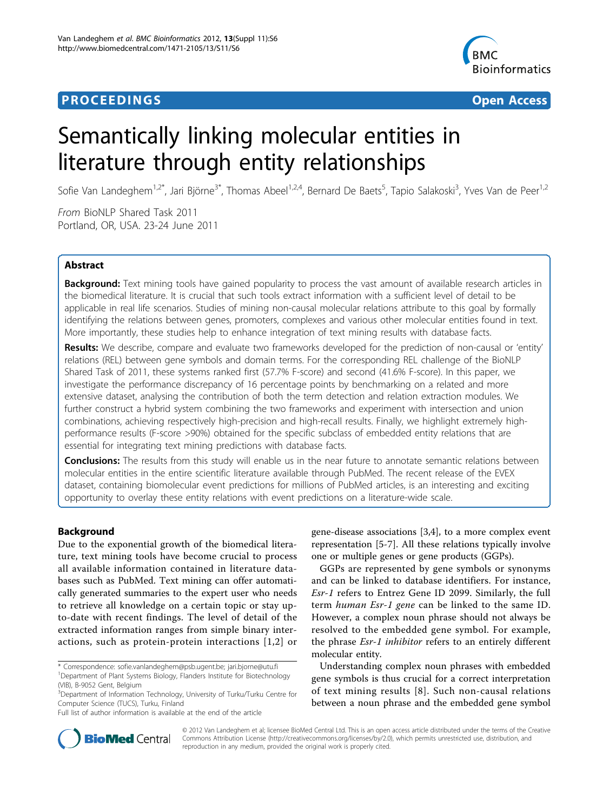# **PROCEEDINGS CONSUMING S** Open Access **CONSUMING S**



# Semantically linking molecular entities in literature through entity relationships

Sofie Van Landeghem<sup>1,2\*</sup>, Jari Björne<sup>3\*</sup>, Thomas Abeel<sup>1,2,4</sup>, Bernard De Baets<sup>5</sup>, Tapio Salakoski<sup>3</sup>, Yves Van de Peer<sup>1,2</sup>

From BioNLP Shared Task 2011 Portland, OR, USA. 23-24 June 2011

# Abstract

**Background:** Text mining tools have gained popularity to process the vast amount of available research articles in the biomedical literature. It is crucial that such tools extract information with a sufficient level of detail to be applicable in real life scenarios. Studies of mining non-causal molecular relations attribute to this goal by formally identifying the relations between genes, promoters, complexes and various other molecular entities found in text. More importantly, these studies help to enhance integration of text mining results with database facts.

Results: We describe, compare and evaluate two frameworks developed for the prediction of non-causal or 'entity' relations (REL) between gene symbols and domain terms. For the corresponding REL challenge of the BioNLP Shared Task of 2011, these systems ranked first (57.7% F-score) and second (41.6% F-score). In this paper, we investigate the performance discrepancy of 16 percentage points by benchmarking on a related and more extensive dataset, analysing the contribution of both the term detection and relation extraction modules. We further construct a hybrid system combining the two frameworks and experiment with intersection and union combinations, achieving respectively high-precision and high-recall results. Finally, we highlight extremely highperformance results (F-score >90%) obtained for the specific subclass of embedded entity relations that are essential for integrating text mining predictions with database facts.

Conclusions: The results from this study will enable us in the near future to annotate semantic relations between molecular entities in the entire scientific literature available through PubMed. The recent release of the EVEX dataset, containing biomolecular event predictions for millions of PubMed articles, is an interesting and exciting opportunity to overlay these entity relations with event predictions on a literature-wide scale.

# Background

Due to the exponential growth of the biomedical literature, text mining tools have become crucial to process all available information contained in literature databases such as PubMed. Text mining can offer automatically generated summaries to the expert user who needs to retrieve all knowledge on a certain topic or stay upto-date with recent findings. The level of detail of the extracted information ranges from simple binary interactions, such as protein-protein interactions [[1,2](#page-7-0)] or

gene-disease associations [\[3,4](#page-8-0)], to a more complex event representation [[5-7](#page-8-0)]. All these relations typically involve one or multiple genes or gene products (GGPs).

GGPs are represented by gene symbols or synonyms and can be linked to database identifiers. For instance, Esr-1 refers to Entrez Gene ID 2099. Similarly, the full term human Esr-1 gene can be linked to the same ID. However, a complex noun phrase should not always be resolved to the embedded gene symbol. For example, the phrase *Esr-1 inhibitor* refers to an entirely different molecular entity.

Understanding complex noun phrases with embedded gene symbols is thus crucial for a correct interpretation of text mining results [[8](#page-8-0)]. Such non-causal relations between a noun phrase and the embedded gene symbol



© 2012 Van Landeghem et al; licensee BioMed Central Ltd. This is an open access article distributed under the terms of the Creative Commons Attribution License [\(http://creativecommons.org/licenses/by/2.0](http://creativecommons.org/licenses/by/2.0)), which permits unrestricted use, distribution, and reproduction in any medium, provided the original work is properly cited.

<sup>\*</sup> Correspondence: [sofie.vanlandeghem@psb.ugent.be](mailto:sofie.vanlandeghem@psb.ugent.be); [jari.bjorne@utu.fi](mailto:jari.bjorne@utu.fi) <sup>1</sup>Department of Plant Systems Biology, Flanders Institute for Biotechnology (VIB), B-9052 Gent, Belgium

<sup>&</sup>lt;sup>3</sup>Department of Information Technology, University of Turku/Turku Centre for Computer Science (TUCS), Turku, Finland

Full list of author information is available at the end of the article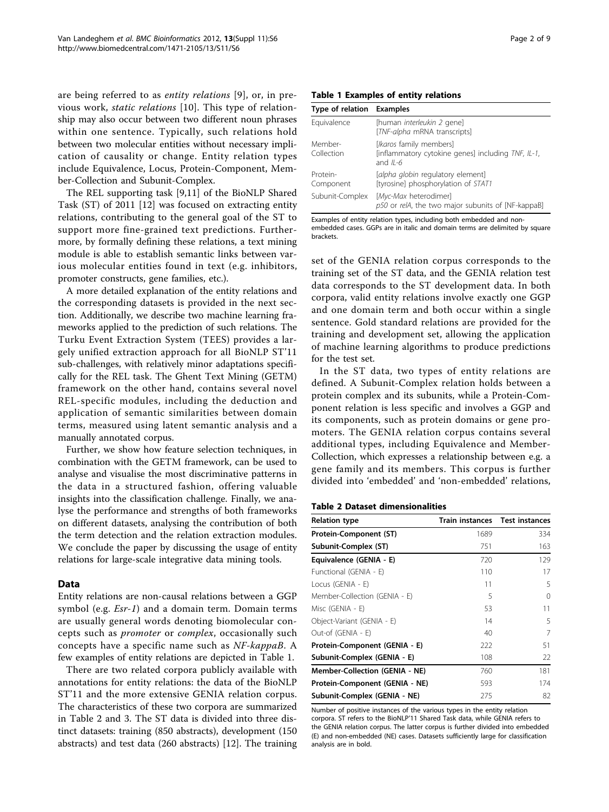<span id="page-1-0"></span>are being referred to as entity relations [[9](#page-8-0)], or, in previous work, static relations [\[10](#page-8-0)]. This type of relationship may also occur between two different noun phrases within one sentence. Typically, such relations hold between two molecular entities without necessary implication of causality or change. Entity relation types include Equivalence, Locus, Protein-Component, Member-Collection and Subunit-Complex.

The REL supporting task [[9,11\]](#page-8-0) of the BioNLP Shared Task (ST) of 2011 [[12\]](#page-8-0) was focused on extracting entity relations, contributing to the general goal of the ST to support more fine-grained text predictions. Furthermore, by formally defining these relations, a text mining module is able to establish semantic links between various molecular entities found in text (e.g. inhibitors, promoter constructs, gene families, etc.).

A more detailed explanation of the entity relations and the corresponding datasets is provided in the next section. Additionally, we describe two machine learning frameworks applied to the prediction of such relations. The Turku Event Extraction System (TEES) provides a largely unified extraction approach for all BioNLP ST'11 sub-challenges, with relatively minor adaptations specifically for the REL task. The Ghent Text Mining (GETM) framework on the other hand, contains several novel REL-specific modules, including the deduction and application of semantic similarities between domain terms, measured using latent semantic analysis and a manually annotated corpus.

Further, we show how feature selection techniques, in combination with the GETM framework, can be used to analyse and visualise the most discriminative patterns in the data in a structured fashion, offering valuable insights into the classification challenge. Finally, we analyse the performance and strengths of both frameworks on different datasets, analysing the contribution of both the term detection and the relation extraction modules. We conclude the paper by discussing the usage of entity relations for large-scale integrative data mining tools.

## Data

Entity relations are non-causal relations between a GGP symbol (e.g. *Esr-1*) and a domain term. Domain terms are usually general words denoting biomolecular concepts such as promoter or complex, occasionally such concepts have a specific name such as NF-kappaB. A few examples of entity relations are depicted in Table 1.

There are two related corpora publicly available with annotations for entity relations: the data of the BioNLP ST'11 and the more extensive GENIA relation corpus. The characteristics of these two corpora are summarized in Table 2 and [3.](#page-2-0) The ST data is divided into three distinct datasets: training (850 abstracts), development (150 abstracts) and test data (260 abstracts) [\[12\]](#page-8-0). The training

## Table 1 Examples of entity relations

| Type of relation Examples |                                                                                              |  |  |  |
|---------------------------|----------------------------------------------------------------------------------------------|--|--|--|
| Equivalence               | [human interleukin 2 gene]<br>[TNF-alpha mRNA transcripts]                                   |  |  |  |
| Member-<br>Collection     | [Ikaros family members]<br>[inflammatory cytokine genes] including TNF, IL-1,<br>and $II -6$ |  |  |  |
| Protein-<br>Component     | [alpha globin regulatory element]<br>[tyrosine] phosphorylation of STAT1                     |  |  |  |
| Subunit-Complex           | [Myc-Max heterodimer]<br>p50 or relA, the two major subunits of [NF-kappaB]                  |  |  |  |

Examples of entity relation types, including both embedded and nonembedded cases. GGPs are in italic and domain terms are delimited by square brackets.

set of the GENIA relation corpus corresponds to the training set of the ST data, and the GENIA relation test data corresponds to the ST development data. In both corpora, valid entity relations involve exactly one GGP and one domain term and both occur within a single sentence. Gold standard relations are provided for the training and development set, allowing the application of machine learning algorithms to produce predictions for the test set.

In the ST data, two types of entity relations are defined. A Subunit-Complex relation holds between a protein complex and its subunits, while a Protein-Component relation is less specific and involves a GGP and its components, such as protein domains or gene promoters. The GENIA relation corpus contains several additional types, including Equivalence and Member-Collection, which expresses a relationship between e.g. a gene family and its members. This corpus is further divided into 'embedded' and 'non-embedded' relations,

## Table 2 Dataset dimensionalities

| <b>Relation type</b>                  | Train instances Test instances |          |
|---------------------------------------|--------------------------------|----------|
| Protein-Component (ST)                | 1689                           | 334      |
| Subunit-Complex (ST)                  | 751                            | 163      |
| Equivalence (GENIA - E)               | 720                            | 129      |
| Functional (GENIA - E)                | 110                            | 17       |
| Locus (GENIA - E)                     | 11                             | 5        |
| Member-Collection (GENIA - E)         | 5                              | $\Omega$ |
| Misc (GENIA - E)                      | 53                             | 11       |
| Object-Variant (GENIA - E)            | 14                             | 5        |
| Out-of (GENIA - E)                    | 40                             | 7        |
| Protein-Component (GENIA - E)         | 222                            | 51       |
| Subunit-Complex (GENIA - E)           | 108                            | 22       |
| <b>Member-Collection (GENIA - NE)</b> | 760                            | 181      |
| Protein-Component (GENIA - NE)        | 593                            | 174      |
| Subunit-Complex (GENIA - NE)          | 275                            | 82       |

Number of positive instances of the various types in the entity relation corpora. ST refers to the BioNLP'11 Shared Task data, while GENIA refers to the GENIA relation corpus. The latter corpus is further divided into embedded (E) and non-embedded (NE) cases. Datasets sufficiently large for classification analysis are in bold.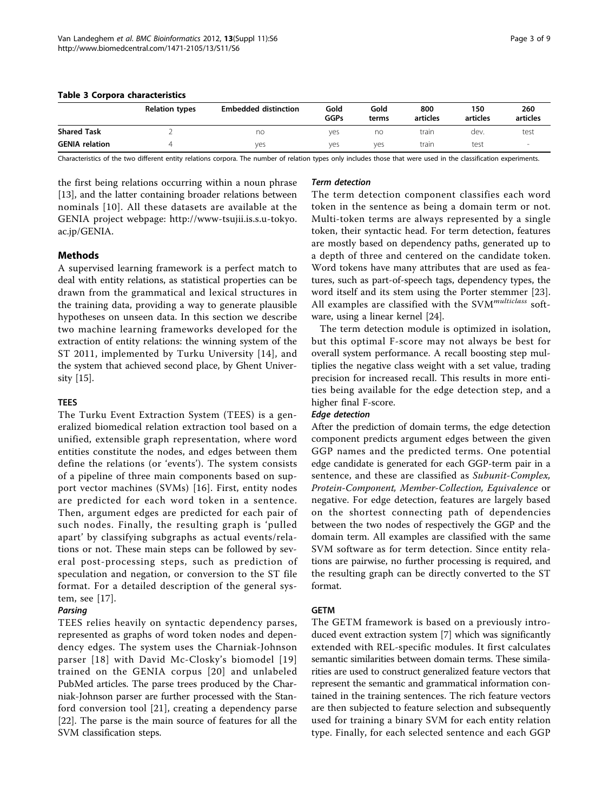## <span id="page-2-0"></span>Table 3 Corpora characteristics

**GENIA relation** and the 4 the set of the set of the set of the set of the set of the set of the set of the set o Characteristics of the two different entity relations corpora. The number of relation types only includes those that were used in the classification experiments.

Shared Task 2 no yes no train dev. test

the first being relations occurring within a noun phrase [[13\]](#page-8-0), and the latter containing broader relations between nominals [[10\]](#page-8-0). All these datasets are available at the GENIA project webpage: [http://www-tsujii.is.s.u-tokyo.](http://www-tsujii.is.s.u-tokyo.ac.jp/GENIA) [ac.jp/GENIA](http://www-tsujii.is.s.u-tokyo.ac.jp/GENIA).

## Methods

A supervised learning framework is a perfect match to deal with entity relations, as statistical properties can be drawn from the grammatical and lexical structures in the training data, providing a way to generate plausible hypotheses on unseen data. In this section we describe two machine learning frameworks developed for the extraction of entity relations: the winning system of the ST 2011, implemented by Turku University [[14\]](#page-8-0), and the system that achieved second place, by Ghent University [[15\]](#page-8-0).

## TEES

The Turku Event Extraction System (TEES) is a generalized biomedical relation extraction tool based on a unified, extensible graph representation, where word entities constitute the nodes, and edges between them define the relations (or 'events'). The system consists of a pipeline of three main components based on support vector machines (SVMs) [[16\]](#page-8-0). First, entity nodes are predicted for each word token in a sentence. Then, argument edges are predicted for each pair of such nodes. Finally, the resulting graph is 'pulled apart' by classifying subgraphs as actual events/relations or not. These main steps can be followed by several post-processing steps, such as prediction of speculation and negation, or conversion to the ST file format. For a detailed description of the general system, see [[17](#page-8-0)].

# Parsing

TEES relies heavily on syntactic dependency parses, represented as graphs of word token nodes and dependency edges. The system uses the Charniak-Johnson parser [[18\]](#page-8-0) with David Mc-Closky's biomodel [[19](#page-8-0)] trained on the GENIA corpus [[20](#page-8-0)] and unlabeled PubMed articles. The parse trees produced by the Charniak-Johnson parser are further processed with the Stanford conversion tool [\[21](#page-8-0)], creating a dependency parse [[22\]](#page-8-0). The parse is the main source of features for all the SVM classification steps.

## Term detection

The term detection component classifies each word token in the sentence as being a domain term or not. Multi-token terms are always represented by a single token, their syntactic head. For term detection, features are mostly based on dependency paths, generated up to a depth of three and centered on the candidate token. Word tokens have many attributes that are used as features, such as part-of-speech tags, dependency types, the word itself and its stem using the Porter stemmer [[23](#page-8-0)]. All examples are classified with the SVM<sup>multiclass</sup> software, using a linear kernel [[24](#page-8-0)].

The term detection module is optimized in isolation, but this optimal F-score may not always be best for overall system performance. A recall boosting step multiplies the negative class weight with a set value, trading precision for increased recall. This results in more entities being available for the edge detection step, and a higher final F-score.

## Edge detection

After the prediction of domain terms, the edge detection component predicts argument edges between the given GGP names and the predicted terms. One potential edge candidate is generated for each GGP-term pair in a sentence, and these are classified as Subunit-Complex, Protein-Component, Member-Collection, Equivalence or negative. For edge detection, features are largely based on the shortest connecting path of dependencies between the two nodes of respectively the GGP and the domain term. All examples are classified with the same SVM software as for term detection. Since entity relations are pairwise, no further processing is required, and the resulting graph can be directly converted to the ST format.

# **GETM**

The GETM framework is based on a previously introduced event extraction system [\[7\]](#page-8-0) which was significantly extended with REL-specific modules. It first calculates semantic similarities between domain terms. These similarities are used to construct generalized feature vectors that represent the semantic and grammatical information contained in the training sentences. The rich feature vectors are then subjected to feature selection and subsequently used for training a binary SVM for each entity relation type. Finally, for each selected sentence and each GGP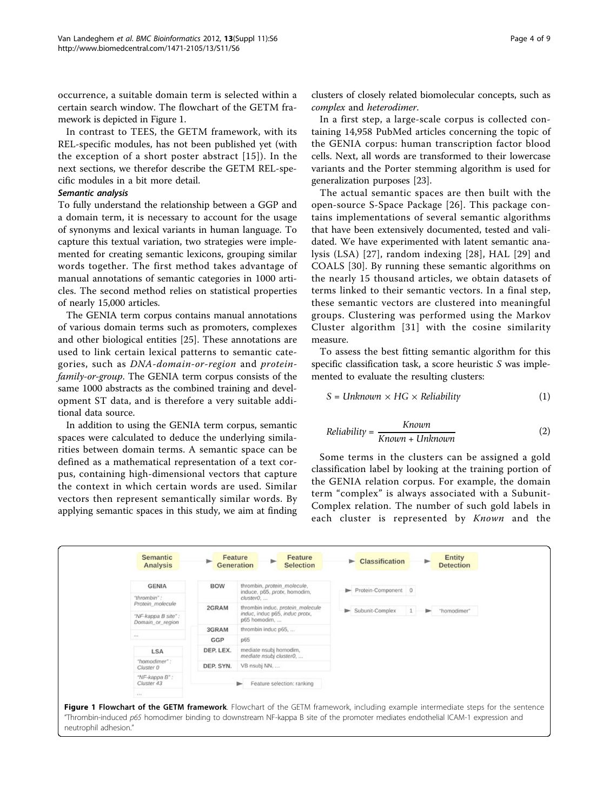<span id="page-3-0"></span>occurrence, a suitable domain term is selected within a certain search window. The flowchart of the GETM framework is depicted in Figure 1.

In contrast to TEES, the GETM framework, with its REL-specific modules, has not been published yet (with the exception of a short poster abstract [\[15\]](#page-8-0)). In the next sections, we therefor describe the GETM REL-specific modules in a bit more detail.

## Semantic analysis

To fully understand the relationship between a GGP and a domain term, it is necessary to account for the usage of synonyms and lexical variants in human language. To capture this textual variation, two strategies were implemented for creating semantic lexicons, grouping similar words together. The first method takes advantage of manual annotations of semantic categories in 1000 articles. The second method relies on statistical properties of nearly 15,000 articles.

The GENIA term corpus contains manual annotations of various domain terms such as promoters, complexes and other biological entities [[25\]](#page-8-0). These annotations are used to link certain lexical patterns to semantic categories, such as DNA-domain-or-region and proteinfamily-or-group. The GENIA term corpus consists of the same 1000 abstracts as the combined training and development ST data, and is therefore a very suitable additional data source.

In addition to using the GENIA term corpus, semantic spaces were calculated to deduce the underlying similarities between domain terms. A semantic space can be defined as a mathematical representation of a text corpus, containing high-dimensional vectors that capture the context in which certain words are used. Similar vectors then represent semantically similar words. By applying semantic spaces in this study, we aim at finding

clusters of closely related biomolecular concepts, such as complex and heterodimer.

In a first step, a large-scale corpus is collected containing 14,958 PubMed articles concerning the topic of the GENIA corpus: human transcription factor blood cells. Next, all words are transformed to their lowercase variants and the Porter stemming algorithm is used for generalization purposes [\[23](#page-8-0)].

The actual semantic spaces are then built with the open-source S-Space Package [[26\]](#page-8-0). This package contains implementations of several semantic algorithms that have been extensively documented, tested and validated. We have experimented with latent semantic analysis (LSA) [\[27\]](#page-8-0), random indexing [[28\]](#page-8-0), HAL [[29](#page-8-0)] and COALS [[30\]](#page-8-0). By running these semantic algorithms on the nearly 15 thousand articles, we obtain datasets of terms linked to their semantic vectors. In a final step, these semantic vectors are clustered into meaningful groups. Clustering was performed using the Markov Cluster algorithm [[31](#page-8-0)] with the cosine similarity measure.

To assess the best fitting semantic algorithm for this specific classification task, a score heuristic S was implemented to evaluate the resulting clusters:

$$
S = Unknown \times HG \times Reliability
$$
 (1)

$$
Reliability = \frac{Known}{Known + Unknown}
$$
 (2)

Some terms in the clusters can be assigned a gold classification label by looking at the training portion of the GENIA relation corpus. For example, the domain term "complex" is always associated with a Subunit-Complex relation. The number of such gold labels in each cluster is represented by Known and the

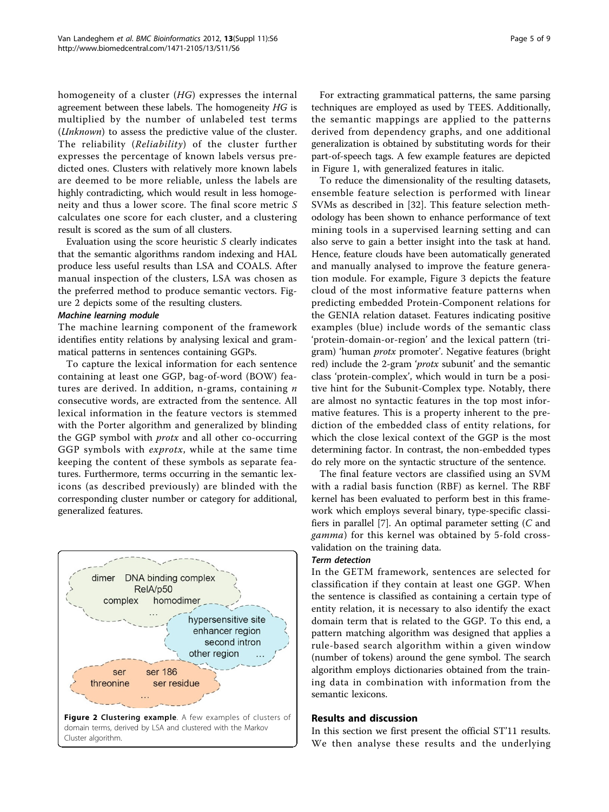homogeneity of a cluster (HG) expresses the internal agreement between these labels. The homogeneity HG is multiplied by the number of unlabeled test terms (Unknown) to assess the predictive value of the cluster. The reliability (Reliability) of the cluster further expresses the percentage of known labels versus predicted ones. Clusters with relatively more known labels are deemed to be more reliable, unless the labels are highly contradicting, which would result in less homogeneity and thus a lower score. The final score metric S calculates one score for each cluster, and a clustering result is scored as the sum of all clusters.

Evaluation using the score heuristic S clearly indicates that the semantic algorithms random indexing and HAL produce less useful results than LSA and COALS. After manual inspection of the clusters, LSA was chosen as the preferred method to produce semantic vectors. Figure 2 depicts some of the resulting clusters.

## Machine learning module

The machine learning component of the framework identifies entity relations by analysing lexical and grammatical patterns in sentences containing GGPs.

To capture the lexical information for each sentence containing at least one GGP, bag-of-word (BOW) features are derived. In addition, n-grams, containing  $n$ consecutive words, are extracted from the sentence. All lexical information in the feature vectors is stemmed with the Porter algorithm and generalized by blinding the GGP symbol with protx and all other co-occurring GGP symbols with exprotx, while at the same time keeping the content of these symbols as separate features. Furthermore, terms occurring in the semantic lexicons (as described previously) are blinded with the corresponding cluster number or category for additional, generalized features.



For extracting grammatical patterns, the same parsing techniques are employed as used by TEES. Additionally, the semantic mappings are applied to the patterns derived from dependency graphs, and one additional generalization is obtained by substituting words for their part-of-speech tags. A few example features are depicted in Figure [1,](#page-3-0) with generalized features in italic.

To reduce the dimensionality of the resulting datasets, ensemble feature selection is performed with linear SVMs as described in [[32\]](#page-8-0). This feature selection methodology has been shown to enhance performance of text mining tools in a supervised learning setting and can also serve to gain a better insight into the task at hand. Hence, feature clouds have been automatically generated and manually analysed to improve the feature generation module. For example, Figure [3](#page-5-0) depicts the feature cloud of the most informative feature patterns when predicting embedded Protein-Component relations for the GENIA relation dataset. Features indicating positive examples (blue) include words of the semantic class 'protein-domain-or-region' and the lexical pattern (trigram) 'human *protx* promoter'. Negative features (bright red) include the 2-gram '*protx* subunit' and the semantic class 'protein-complex', which would in turn be a positive hint for the Subunit-Complex type. Notably, there are almost no syntactic features in the top most informative features. This is a property inherent to the prediction of the embedded class of entity relations, for which the close lexical context of the GGP is the most determining factor. In contrast, the non-embedded types do rely more on the syntactic structure of the sentence.

The final feature vectors are classified using an SVM with a radial basis function (RBF) as kernel. The RBF kernel has been evaluated to perform best in this framework which employs several binary, type-specific classifiers in parallel [\[7](#page-8-0)]. An optimal parameter setting (C and gamma) for this kernel was obtained by 5-fold crossvalidation on the training data.

## Term detection

In the GETM framework, sentences are selected for classification if they contain at least one GGP. When the sentence is classified as containing a certain type of entity relation, it is necessary to also identify the exact domain term that is related to the GGP. To this end, a pattern matching algorithm was designed that applies a rule-based search algorithm within a given window (number of tokens) around the gene symbol. The search algorithm employs dictionaries obtained from the training data in combination with information from the semantic lexicons.

# Results and discussion

In this section we first present the official ST'11 results. We then analyse these results and the underlying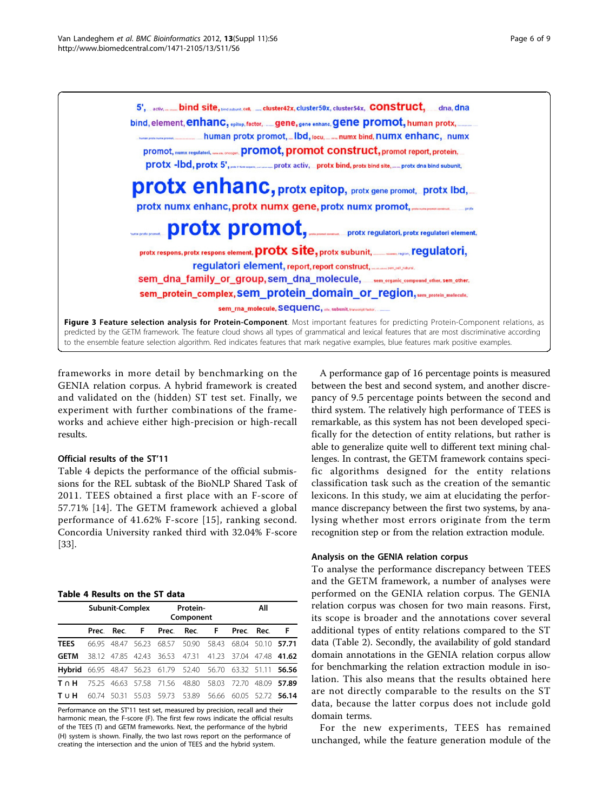<span id="page-5-0"></span>

frameworks in more detail by benchmarking on the GENIA relation corpus. A hybrid framework is created and validated on the (hidden) ST test set. Finally, we experiment with further combinations of the frameworks and achieve either high-precision or high-recall results.

## Official results of the ST'11

Table 4 depicts the performance of the official submissions for the REL subtask of the BioNLP Shared Task of 2011. TEES obtained a first place with an F-score of 57.71% [[14\]](#page-8-0). The GETM framework achieved a global performance of 41.62% F-score [[15\]](#page-8-0), ranking second. Concordia University ranked third with 32.04% F-score [[33\]](#page-8-0).

## Table 4 Results on the ST data

|                                                              | Subunit-Complex |             |       | Protein-<br>Component         |                                                       |                                | Αll |                   |     |
|--------------------------------------------------------------|-----------------|-------------|-------|-------------------------------|-------------------------------------------------------|--------------------------------|-----|-------------------|-----|
|                                                              |                 |             |       |                               | Prec. Rec. F Prec. Rec. F                             |                                |     | Prec. Rec.        | - F |
| <b>TEES</b>                                                  |                 |             |       |                               | 66.95 48.47 56.23 68.57 50.90 58.43                   |                                |     | 68.04 50.10 57.71 |     |
| <b>GETM</b>                                                  |                 |             |       |                               | 38.12 47.85 42.43 36.53 47.31 41.23 37.04 47.48 41.62 |                                |     |                   |     |
| Hybrid 66.95 48.47 56.23 61.79 52.40 56.70 63.32 51.11 56.56 |                 |             |       |                               |                                                       |                                |     |                   |     |
| T∩H                                                          |                 |             |       | 75.25 46.63 57.58 71.56 48.80 |                                                       | 58.03 72.70 48.09 57.89        |     |                   |     |
| <b>TUH</b>                                                   |                 | 60.74 50.31 | 55.03 | 59.73                         | 53.89                                                 | 56.66 60.05 52.72 <b>56.14</b> |     |                   |     |

Performance on the ST'11 test set, measured by precision, recall and their harmonic mean, the F-score (F). The first few rows indicate the official results of the TEES (T) and GETM frameworks. Next, the performance of the hybrid (H) system is shown. Finally, the two last rows report on the performance of creating the intersection and the union of TEES and the hybrid system.

A performance gap of 16 percentage points is measured between the best and second system, and another discrepancy of 9.5 percentage points between the second and third system. The relatively high performance of TEES is remarkable, as this system has not been developed specifically for the detection of entity relations, but rather is able to generalize quite well to different text mining challenges. In contrast, the GETM framework contains specific algorithms designed for the entity relations classification task such as the creation of the semantic lexicons. In this study, we aim at elucidating the performance discrepancy between the first two systems, by analysing whether most errors originate from the term recognition step or from the relation extraction module.

## Analysis on the GENIA relation corpus

To analyse the performance discrepancy between TEES and the GETM framework, a number of analyses were performed on the GENIA relation corpus. The GENIA relation corpus was chosen for two main reasons. First, its scope is broader and the annotations cover several additional types of entity relations compared to the ST data (Table [2](#page-1-0)). Secondly, the availability of gold standard domain annotations in the GENIA relation corpus allow for benchmarking the relation extraction module in isolation. This also means that the results obtained here are not directly comparable to the results on the ST data, because the latter corpus does not include gold domain terms.

For the new experiments, TEES has remained unchanged, while the feature generation module of the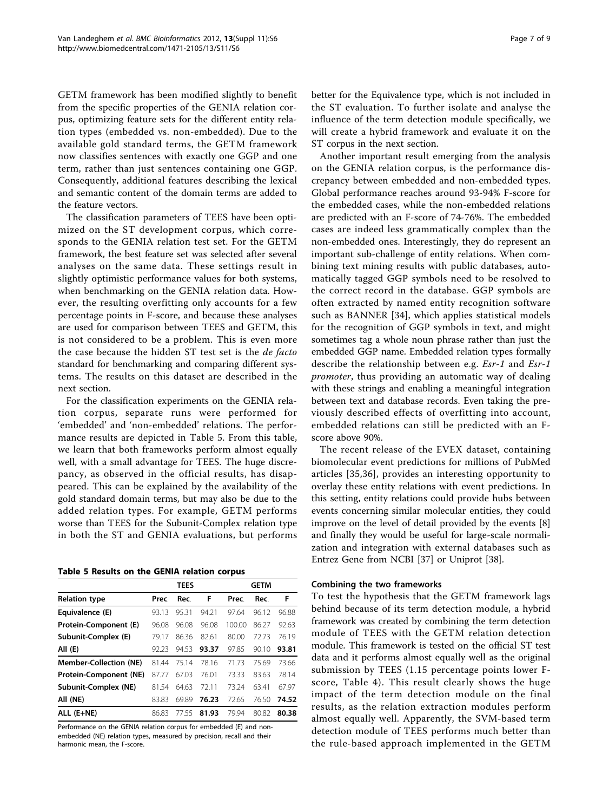GETM framework has been modified slightly to benefit from the specific properties of the GENIA relation corpus, optimizing feature sets for the different entity relation types (embedded vs. non-embedded). Due to the available gold standard terms, the GETM framework now classifies sentences with exactly one GGP and one term, rather than just sentences containing one GGP. Consequently, additional features describing the lexical and semantic content of the domain terms are added to the feature vectors.

The classification parameters of TEES have been optimized on the ST development corpus, which corresponds to the GENIA relation test set. For the GETM framework, the best feature set was selected after several analyses on the same data. These settings result in slightly optimistic performance values for both systems, when benchmarking on the GENIA relation data. However, the resulting overfitting only accounts for a few percentage points in F-score, and because these analyses are used for comparison between TEES and GETM, this is not considered to be a problem. This is even more the case because the hidden ST test set is the de facto standard for benchmarking and comparing different systems. The results on this dataset are described in the next section.

For the classification experiments on the GENIA relation corpus, separate runs were performed for 'embedded' and 'non-embedded' relations. The performance results are depicted in Table 5. From this table, we learn that both frameworks perform almost equally well, with a small advantage for TEES. The huge discrepancy, as observed in the official results, has disappeared. This can be explained by the availability of the gold standard domain terms, but may also be due to the added relation types. For example, GETM performs worse than TEES for the Subunit-Complex relation type in both the ST and GENIA evaluations, but performs

|  |  |  |  |  |  | Table 5 Results on the GENIA relation corpus |  |
|--|--|--|--|--|--|----------------------------------------------|--|
|--|--|--|--|--|--|----------------------------------------------|--|

|                               |       | <b>TEES</b> |       |        | <b>GETM</b> |       |
|-------------------------------|-------|-------------|-------|--------|-------------|-------|
| <b>Relation type</b>          | Prec. | Rec.        | F     | Prec.  | Rec.        | F     |
| Equivalence (E)               | 93.13 | 95.31       | 94.21 | 97.64  | 96.12       | 96.88 |
| Protein-Component (E)         | 96.08 | 96.08       | 96.08 | 100.00 | 86.27       | 92.63 |
| Subunit-Complex (E)           | 79.17 | 86.36       | 82.61 | 80.00  | 72.73       | 76.19 |
| All (E)                       | 9223  | 94.53       | 93.37 | 97.85  | 90.10       | 93.81 |
| <b>Member-Collection (NE)</b> | 81.44 | 75.14       | 78.16 | 71.73  | 75.69       | 73.66 |
| <b>Protein-Component (NE)</b> | 87 77 | 67.03       | 76.01 | 73.33  | 83.63       | 78.14 |
| Subunit-Complex (NE)          | 8154  | 64.63       | 72.11 | 73.24  | 63.41       | 67.97 |
| All (NE)                      | 83.83 | 69.89       | 76.23 | 72.65  | 76.50       | 74.52 |
| $ALL (E+NE)$                  | 86.83 | 77.55       | 81.93 | 79.94  | 80.82       | 80.38 |

Performance on the GENIA relation corpus for embedded (E) and nonembedded (NE) relation types, measured by precision, recall and their harmonic mean, the F-score.

better for the Equivalence type, which is not included in the ST evaluation. To further isolate and analyse the influence of the term detection module specifically, we will create a hybrid framework and evaluate it on the ST corpus in the next section.

Another important result emerging from the analysis on the GENIA relation corpus, is the performance discrepancy between embedded and non-embedded types. Global performance reaches around 93-94% F-score for the embedded cases, while the non-embedded relations are predicted with an F-score of 74-76%. The embedded cases are indeed less grammatically complex than the non-embedded ones. Interestingly, they do represent an important sub-challenge of entity relations. When combining text mining results with public databases, automatically tagged GGP symbols need to be resolved to the correct record in the database. GGP symbols are often extracted by named entity recognition software such as BANNER [[34](#page-8-0)], which applies statistical models for the recognition of GGP symbols in text, and might sometimes tag a whole noun phrase rather than just the embedded GGP name. Embedded relation types formally describe the relationship between e.g. Esr-1 and Esr-1 promoter, thus providing an automatic way of dealing with these strings and enabling a meaningful integration between text and database records. Even taking the previously described effects of overfitting into account, embedded relations can still be predicted with an Fscore above 90%.

The recent release of the EVEX dataset, containing biomolecular event predictions for millions of PubMed articles [[35](#page-8-0),[36\]](#page-8-0), provides an interesting opportunity to overlay these entity relations with event predictions. In this setting, entity relations could provide hubs between events concerning similar molecular entities, they could improve on the level of detail provided by the events [[8](#page-8-0)] and finally they would be useful for large-scale normalization and integration with external databases such as Entrez Gene from NCBI [\[37](#page-8-0)] or Uniprot [\[38\]](#page-8-0).

## Combining the two frameworks

To test the hypothesis that the GETM framework lags behind because of its term detection module, a hybrid framework was created by combining the term detection module of TEES with the GETM relation detection module. This framework is tested on the official ST test data and it performs almost equally well as the original submission by TEES (1.15 percentage points lower Fscore, Table [4\)](#page-5-0). This result clearly shows the huge impact of the term detection module on the final results, as the relation extraction modules perform almost equally well. Apparently, the SVM-based term detection module of TEES performs much better than the rule-based approach implemented in the GETM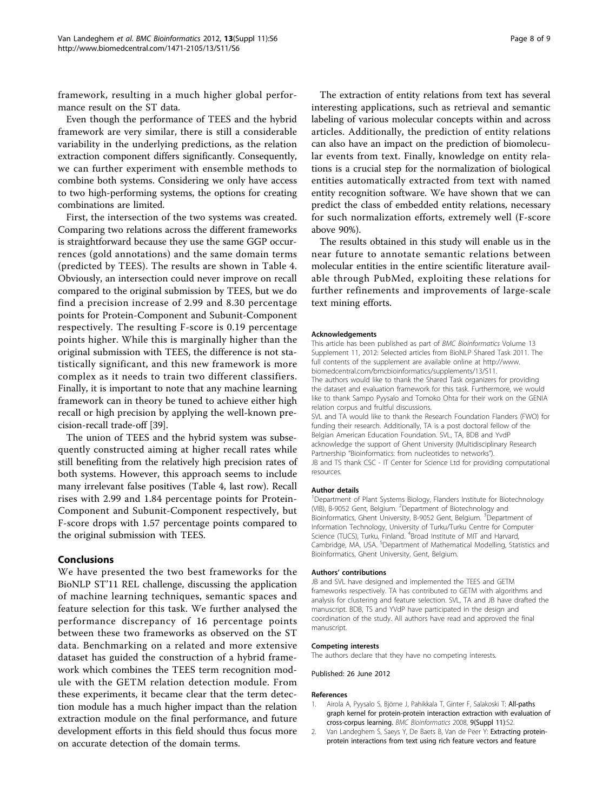<span id="page-7-0"></span>framework, resulting in a much higher global performance result on the ST data.

Even though the performance of TEES and the hybrid framework are very similar, there is still a considerable variability in the underlying predictions, as the relation extraction component differs significantly. Consequently, we can further experiment with ensemble methods to combine both systems. Considering we only have access to two high-performing systems, the options for creating combinations are limited.

First, the intersection of the two systems was created. Comparing two relations across the different frameworks is straightforward because they use the same GGP occurrences (gold annotations) and the same domain terms (predicted by TEES). The results are shown in Table [4](#page-5-0). Obviously, an intersection could never improve on recall compared to the original submission by TEES, but we do find a precision increase of 2.99 and 8.30 percentage points for Protein-Component and Subunit-Component respectively. The resulting F-score is 0.19 percentage points higher. While this is marginally higher than the original submission with TEES, the difference is not statistically significant, and this new framework is more complex as it needs to train two different classifiers. Finally, it is important to note that any machine learning framework can in theory be tuned to achieve either high recall or high precision by applying the well-known precision-recall trade-off [\[39](#page-8-0)].

The union of TEES and the hybrid system was subsequently constructed aiming at higher recall rates while still benefiting from the relatively high precision rates of both systems. However, this approach seems to include many irrelevant false positives (Table [4](#page-5-0), last row). Recall rises with 2.99 and 1.84 percentage points for Protein-Component and Subunit-Component respectively, but F-score drops with 1.57 percentage points compared to the original submission with TEES.

## Conclusions

We have presented the two best frameworks for the BioNLP ST'11 REL challenge, discussing the application of machine learning techniques, semantic spaces and feature selection for this task. We further analysed the performance discrepancy of 16 percentage points between these two frameworks as observed on the ST data. Benchmarking on a related and more extensive dataset has guided the construction of a hybrid framework which combines the TEES term recognition module with the GETM relation detection module. From these experiments, it became clear that the term detection module has a much higher impact than the relation extraction module on the final performance, and future development efforts in this field should thus focus more on accurate detection of the domain terms.

The extraction of entity relations from text has several interesting applications, such as retrieval and semantic labeling of various molecular concepts within and across articles. Additionally, the prediction of entity relations can also have an impact on the prediction of biomolecular events from text. Finally, knowledge on entity relations is a crucial step for the normalization of biological entities automatically extracted from text with named entity recognition software. We have shown that we can predict the class of embedded entity relations, necessary for such normalization efforts, extremely well (F-score above 90%).

The results obtained in this study will enable us in the near future to annotate semantic relations between molecular entities in the entire scientific literature available through PubMed, exploiting these relations for further refinements and improvements of large-scale text mining efforts.

### Acknowledgements

This article has been published as part of BMC Bioinformatics Volume 13 Supplement 11, 2012: Selected articles from BioNLP Shared Task 2011. The full contents of the supplement are available online at [http://www.](http://www.biomedcentral.com/bmcbioinformatics/supplements/13/S11) [biomedcentral.com/bmcbioinformatics/supplements/13/S11](http://www.biomedcentral.com/bmcbioinformatics/supplements/13/S11). The authors would like to thank the Shared Task organizers for providing the dataset and evaluation framework for this task. Furthermore, we would like to thank Sampo Pyysalo and Tomoko Ohta for their work on the GENIA relation corpus and fruitful discussions. SVL and TA would like to thank the Research Foundation Flanders (FWO) for

funding their research. Additionally, TA is a post doctoral fellow of the Belgian American Education Foundation. SVL, TA, BDB and YvdP acknowledge the support of Ghent University (Multidisciplinary Research Partnership "Bioinformatics: from nucleotides to networks"). JB and TS thank CSC - IT Center for Science Ltd for providing computational resources.

### Author details

<sup>1</sup>Department of Plant Systems Biology, Flanders Institute for Biotechnology (VIB), B-9052 Gent, Belgium. <sup>2</sup> Department of Biotechnology and Bioinformatics, Ghent University, B-9052 Gent, Belgium. <sup>3</sup> Department of Information Technology, University of Turku/Turku Centre for Computer Science (TUCS), Turku, Finland. <sup>4</sup>Broad Institute of MIT and Harvard Cambridge, MA, USA. <sup>5</sup>Department of Mathematical Modelling, Statistics and Bioinformatics, Ghent University, Gent, Belgium.

### Authors' contributions

JB and SVL have designed and implemented the TEES and GETM frameworks respectively. TA has contributed to GETM with algorithms and analysis for clustering and feature selection. SVL, TA and JB have drafted the manuscript. BDB, TS and YVdP have participated in the design and coordination of the study. All authors have read and approved the final manuscript.

### Competing interests

The authors declare that they have no competing interests.

## Published: 26 June 2012

## References

- 1. Airola A, Pyysalo S, Björne J, Pahikkala T, Ginter F, Salakoski T: [All-paths](http://www.ncbi.nlm.nih.gov/pubmed/19091019?dopt=Abstract) [graph kernel for protein-protein interaction extraction with evaluation of](http://www.ncbi.nlm.nih.gov/pubmed/19091019?dopt=Abstract) [cross-corpus learning.](http://www.ncbi.nlm.nih.gov/pubmed/19091019?dopt=Abstract) BMC Bioinformatics 2008, 9(Suppl 11):S2.
- 2. Van Landeghem S, Saeys Y, De Baets B, Van de Peer Y: Extracting proteinprotein interactions from text using rich feature vectors and feature